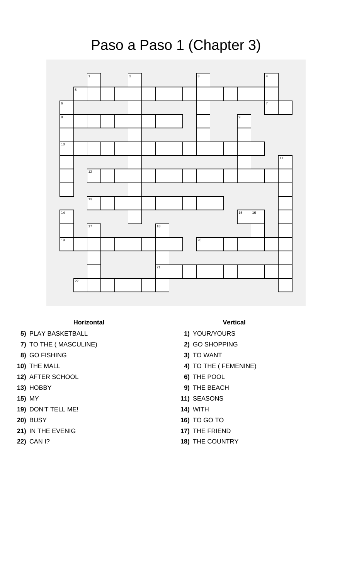## Paso a Paso 1 (Chapter 3)



## **Horizontal Vertical**

- **5)** PLAY BASKETBALL **1)** YOUR/YOURS
- **7)** TO THE ( MASCULINE) **2)** GO SHOPPING
- **8)** GO FISHING **3)** TO WANT
- 
- **12)** AFTER SCHOOL **6)** THE POOL
- 
- 
- **19)** DON'T TELL ME! **14)** WITH
- 
- **21)** IN THE EVENIG **17)** THE FRIEND
- 

- 
- 
- **10)** THE MALL **4)** TO THE ( FEMENINE)
	-
- **13)** HOBBY **9)** THE BEACH
- **15)** MY **11)** SEASONS
	-
- **20)** BUSY **16)** TO GO TO
	-
- **22)** CAN I? **18)** THE COUNTRY